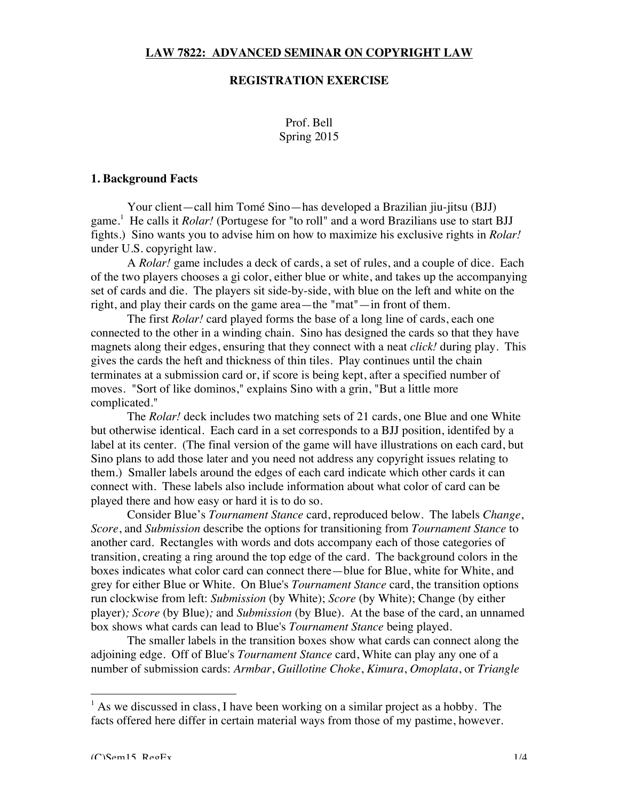## **LAW 7822: ADVANCED SEMINAR ON COPYRIGHT LAW**

## **REGISTRATION EXERCISE**

Prof. Bell Spring 2015

#### **1. Background Facts**

Your client—call him Tomé Sino—has developed a Brazilian jiu-jitsu (BJJ) game.<sup>1</sup> He calls it *Rolar!* (Portugese for "to roll" and a word Brazilians use to start BJJ fights.) Sino wants you to advise him on how to maximize his exclusive rights in *Rolar!* under U.S. copyright law.

A *Rolar!* game includes a deck of cards, a set of rules, and a couple of dice. Each of the two players chooses a gi color, either blue or white, and takes up the accompanying set of cards and die. The players sit side-by-side, with blue on the left and white on the right, and play their cards on the game area—the "mat"—in front of them.

The first *Rolar!* card played forms the base of a long line of cards, each one connected to the other in a winding chain. Sino has designed the cards so that they have magnets along their edges, ensuring that they connect with a neat *click!* during play. This gives the cards the heft and thickness of thin tiles. Play continues until the chain terminates at a submission card or, if score is being kept, after a specified number of moves. "Sort of like dominos," explains Sino with a grin, "But a little more complicated."

The *Rolar!* deck includes two matching sets of 21 cards, one Blue and one White but otherwise identical. Each card in a set corresponds to a BJJ position, identifed by a label at its center. (The final version of the game will have illustrations on each card, but Sino plans to add those later and you need not address any copyright issues relating to them.) Smaller labels around the edges of each card indicate which other cards it can connect with. These labels also include information about what color of card can be played there and how easy or hard it is to do so.

Consider Blue's *Tournament Stance* card, reproduced below. The labels *Change*, *Score*, and *Submission* describe the options for transitioning from *Tournament Stance* to another card. Rectangles with words and dots accompany each of those categories of transition, creating a ring around the top edge of the card. The background colors in the boxes indicates what color card can connect there—blue for Blue, white for White, and grey for either Blue or White. On Blue's *Tournament Stance* card, the transition options run clockwise from left: *Submission* (by White); *Score* (by White); Change (by either player)*; Score* (by Blue)*;* and *Submission* (by Blue). At the base of the card, an unnamed box shows what cards can lead to Blue's *Tournament Stance* being played.

The smaller labels in the transition boxes show what cards can connect along the adjoining edge. Off of Blue's *Tournament Stance* card, White can play any one of a number of submission cards: *Armbar*, *Guillotine Choke*, *Kimura*, *Omoplata*, or *Triangle* 

 $<sup>1</sup>$  As we discussed in class, I have been working on a similar project as a hobby. The</sup> facts offered here differ in certain material ways from those of my pastime, however.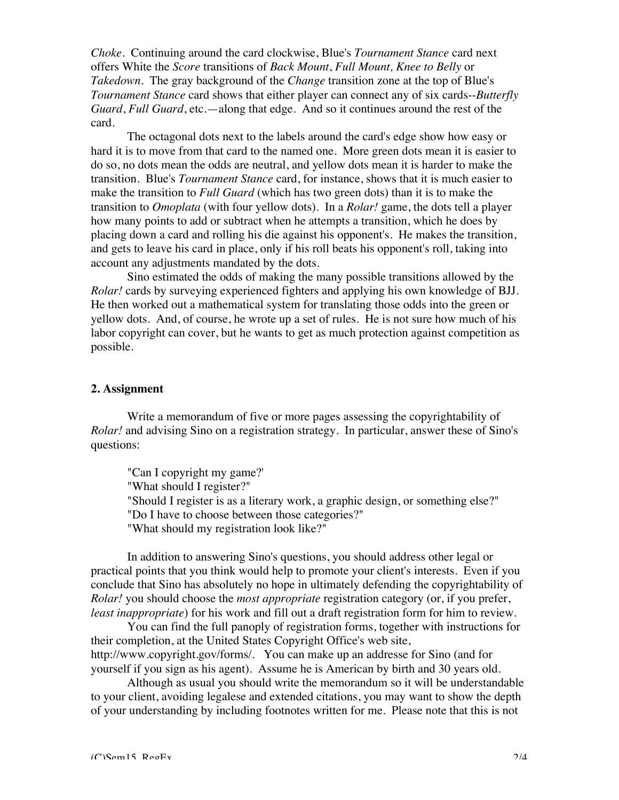*Choke*. Continuing around the card clockwise, Blue's *Tournament Stance* card next offers White the *Score* transitions of *Back Mount*, *Full Mount, Knee to Belly* or *Takedown*. The gray background of the *Change* transition zone at the top of Blue's *Tournament Stance* card shows that either player can connect any of six cards--*Butterfly Guard*, *Full Guard*, etc.—along that edge. And so it continues around the rest of the card.

The octagonal dots next to the labels around the card's edge show how easy or hard it is to move from that card to the named one. More green dots mean it is easier to do so, no dots mean the odds are neutral, and yellow dots mean it is harder to make the transition. Blue's *Tournament Stance* card, for instance, shows that it is much easier to make the transition to *Full Guard* (which has two green dots) than it is to make the transition to *Omoplata* (with four yellow dots). In a *Rolar!* game, the dots tell a player how many points to add or subtract when he attempts a transition, which he does by placing down a card and rolling his die against his opponent's. He makes the transition, and gets to leave his card in place, only if his roll beats his opponent's roll, taking into account any adjustments mandated by the dots.

Sino estimated the odds of making the many possible transitions allowed by the *Rolar!* cards by surveying experienced fighters and applying his own knowledge of BJJ. He then worked out a mathematical system for translating those odds into the green or yellow dots. And, of course, he wrote up a set of rules. He is not sure how much of his labor copyright can cover, but he wants to get as much protection against competition as possible.

## **2. Assignment**

Write a memorandum of five or more pages assessing the copyrightability of *Rolar!* and advising Sino on a registration strategy. In particular, answer these of Sino's questions:

"Can I copyright my game?' "What should I register?" "Should I register is as a literary work, a graphic design, or something else?" "Do I have to choose between those categories?" "What should my registration look like?"

In addition to answering Sino's questions, you should address other legal or practical points that you think would help to promote your client's interests. Even if you conclude that Sino has absolutely no hope in ultimately defending the copyrightability of *Rolar!* you should choose the *most appropriate* registration category (or, if you prefer, *least inappropriate*) for his work and fill out a draft registration form for him to review.

You can find the full panoply of registration forms, together with instructions for their completion, at the United States Copyright Office's web site, http://www.copyright.gov/forms/. You can make up an addresse for Sino (and for yourself if you sign as his agent). Assume he is American by birth and 30 years old.

Although as usual you should write the memorandum so it will be understandable to your client, avoiding legalese and extended citations, you may want to show the depth of your understanding by including footnotes written for me. Please note that this is not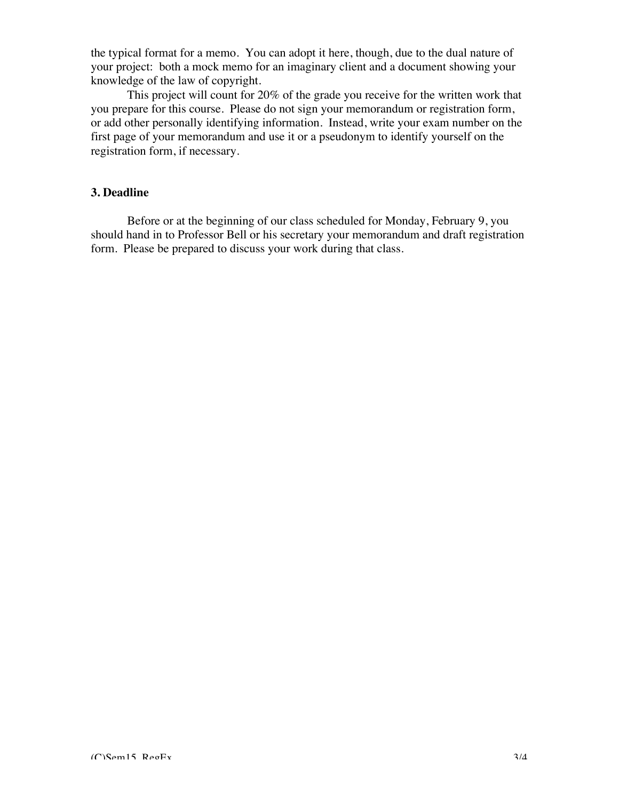the typical format for a memo. You can adopt it here, though, due to the dual nature of your project: both a mock memo for an imaginary client and a document showing your knowledge of the law of copyright.

This project will count for 20% of the grade you receive for the written work that you prepare for this course. Please do not sign your memorandum or registration form, or add other personally identifying information. Instead, write your exam number on the first page of your memorandum and use it or a pseudonym to identify yourself on the registration form, if necessary.

# **3. Deadline**

Before or at the beginning of our class scheduled for Monday, February 9, you should hand in to Professor Bell or his secretary your memorandum and draft registration form. Please be prepared to discuss your work during that class.